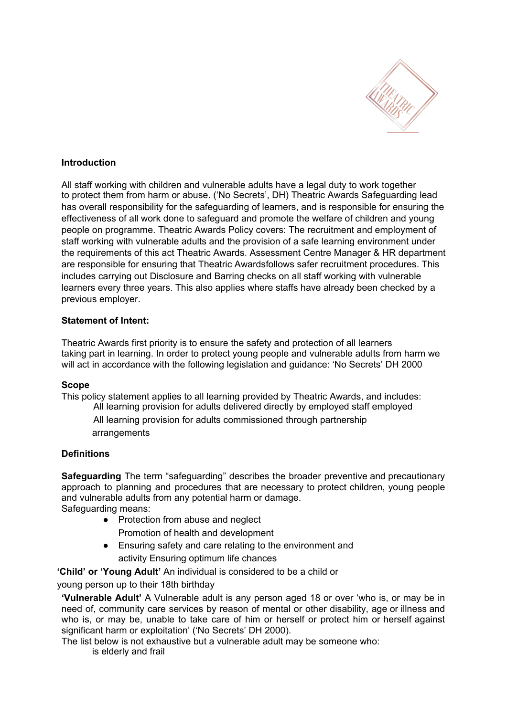

# **Introduction**

All staff working with children and vulnerable adults have a legal duty to work together to protect them from harm or abuse. ('No Secrets', DH) Theatric Awards Safeguarding lead has overall responsibility for the safeguarding of learners, and is responsible for ensuring the effectiveness of all work done to safeguard and promote the welfare of children and young people on programme. Theatric Awards Policy covers: The recruitment and employment of staff working with vulnerable adults and the provision of a safe learning environment under the requirements of this act Theatric Awards. Assessment Centre Manager & HR department are responsible for ensuring that Theatric Awardsfollows safer recruitment procedures. This includes carrying out Disclosure and Barring checks on all staff working with vulnerable learners every three years. This also applies where staffs have already been checked by a previous employer.

## **Statement of Intent:**

Theatric Awards first priority is to ensure the safety and protection of all learners taking part in learning. In order to protect young people and vulnerable adults from harm we will act in accordance with the following legislation and guidance: 'No Secrets' DH 2000

## **Scope**

This policy statement applies to all learning provided by Theatric Awards, and includes: All learning provision for adults delivered directly by employed staff employed

All learning provision for adults commissioned through partnership arrangements

## **Definitions**

**Safeguarding** The term "safeguarding" describes the broader preventive and precautionary approach to planning and procedures that are necessary to protect children, young people and vulnerable adults from any potential harm or damage. Safeguarding means:

- Protection from abuse and neglect
	- Promotion of health and development
- Ensuring safety and care relating to the environment and activity Ensuring optimum life chances

**'Child' or 'Young Adult'** An individual is considered to be a child or

young person up to their 18th birthday

**'Vulnerable Adult'** A Vulnerable adult is any person aged 18 or over 'who is, or may be in need of, community care services by reason of mental or other disability, age or illness and who is, or may be, unable to take care of him or herself or protect him or herself against significant harm or exploitation' ('No Secrets' DH 2000).

The list below is not exhaustive but a vulnerable adult may be someone who: is elderly and frail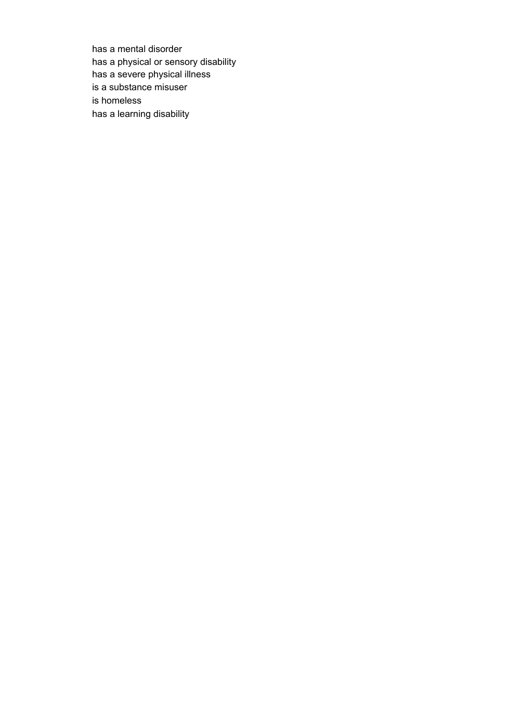has a mental disorder has a physical or sensory disability has a severe physical illness is a substance misuser is homeless has a learning disability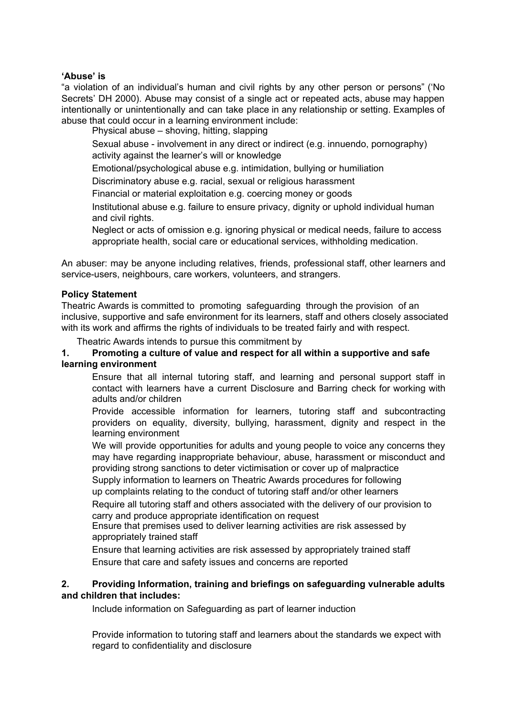#### **'Abuse' is**

"a violation of an individual's human and civil rights by any other person or persons" ('No Secrets' DH 2000). Abuse may consist of a single act or repeated acts, abuse may happen intentionally or unintentionally and can take place in any relationship or setting. Examples of abuse that could occur in a learning environment include:

Physical abuse – shoving, hitting, slapping

Sexual abuse - involvement in any direct or indirect (e.g. innuendo, pornography) activity against the learner's will or knowledge

Emotional/psychological abuse e.g. intimidation, bullying or humiliation

Discriminatory abuse e.g. racial, sexual or religious harassment

Financial or material exploitation e.g. coercing money or goods

Institutional abuse e.g. failure to ensure privacy, dignity or uphold individual human and civil rights.

Neglect or acts of omission e.g. ignoring physical or medical needs, failure to access appropriate health, social care or educational services, withholding medication.

An abuser: may be anyone including relatives, friends, professional staff, other learners and service-users, neighbours, care workers, volunteers, and strangers.

#### **Policy Statement**

Theatric Awards is committed to promoting safeguarding through the provision of an inclusive, supportive and safe environment for its learners, staff and others closely associated with its work and affirms the rights of individuals to be treated fairly and with respect.

Theatric Awards intends to pursue this commitment by

## **1. Promoting a culture of value and respect for all within a supportive and safe learning environment**

Ensure that all internal tutoring staff, and learning and personal support staff in contact with learners have a current Disclosure and Barring check for working with adults and/or children

Provide accessible information for learners, tutoring staff and subcontracting providers on equality, diversity, bullying, harassment, dignity and respect in the learning environment

We will provide opportunities for adults and young people to voice any concerns they may have regarding inappropriate behaviour, abuse, harassment or misconduct and providing strong sanctions to deter victimisation or cover up of malpractice

Supply information to learners on Theatric Awards procedures for following

up complaints relating to the conduct of tutoring staff and/or other learners

Require all tutoring staff and others associated with the delivery of our provision to carry and produce appropriate identification on request

Ensure that premises used to deliver learning activities are risk assessed by appropriately trained staff

Ensure that learning activities are risk assessed by appropriately trained staff Ensure that care and safety issues and concerns are reported

# **2. Providing Information, training and briefings on safeguarding vulnerable adults and children that includes:**

Include information on Safeguarding as part of learner induction

Provide information to tutoring staff and learners about the standards we expect with regard to confidentiality and disclosure